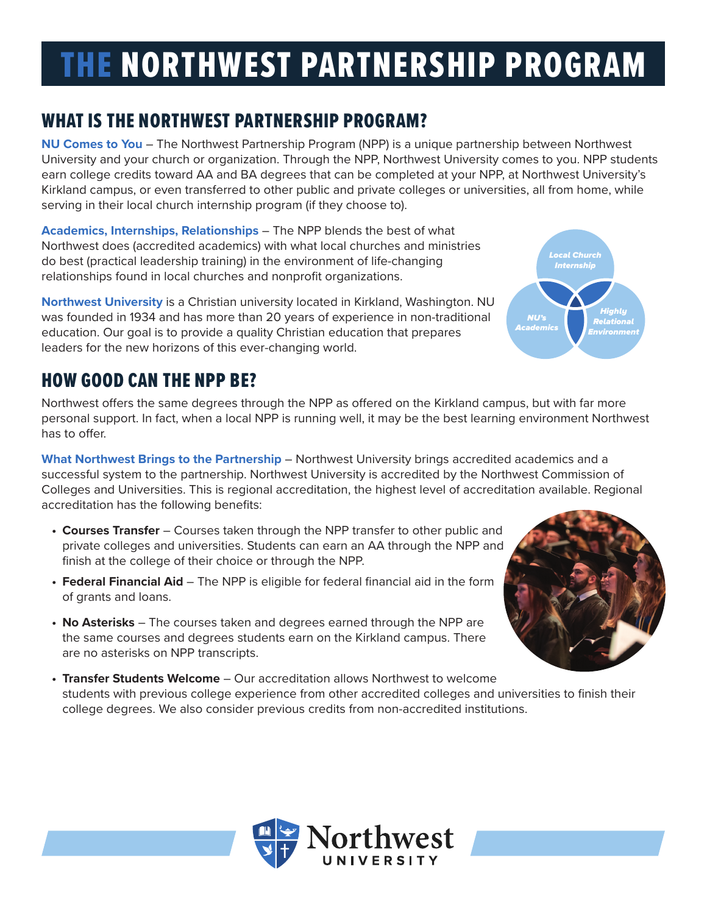# THE NORTHWEST PARTNERSHIP PROGRAM

# WHAT IS THE NORTHWEST PARTNERSHIP PROGRAM?

**NU Comes to You** – The Northwest Partnership Program (NPP) is a unique partnership between Northwest University and your church or organization. Through the NPP, Northwest University comes to you. NPP students earn college credits toward AA and BA degrees that can be completed at your NPP, at Northwest University's Kirkland campus, or even transferred to other public and private colleges or universities, all from home, while serving in their local church internship program (if they choose to).

**Academics, Internships, Relationships** – The NPP blends the best of what Northwest does (accredited academics) with what local churches and ministries do best (practical leadership training) in the environment of life-changing relationships found in local churches and nonprofit organizations.

**Northwest University** is a Christian university located in Kirkland, Washington. NU was founded in 1934 and has more than 20 years of experience in non-traditional education. Our goal is to provide a quality Christian education that prepares leaders for the new horizons of this ever-changing world.

# HOW GOOD CAN THE NPP BE?

Northwest offers the same degrees through the NPP as offered on the Kirkland campus, but with far more personal support. In fact, when a local NPP is running well, it may be the best learning environment Northwest has to offer.

**What Northwest Brings to the Partnership** – Northwest University brings accredited academics and a successful system to the partnership. Northwest University is accredited by the Northwest Commission of Colleges and Universities. This is regional accreditation, the highest level of accreditation available. Regional accreditation has the following benefits:

- **• Courses Transfer** Courses taken through the NPP transfer to other public and private colleges and universities. Students can earn an AA through the NPP and finish at the college of their choice or through the NPP.
- **• Federal Financial Aid** The NPP is eligible for federal financial aid in the form of grants and loans.
- **• No Asterisks** The courses taken and degrees earned through the NPP are the same courses and degrees students earn on the Kirkland campus. There are no asterisks on NPP transcripts.
- **• Transfer Students Welcome** Our accreditation allows Northwest to welcome students with previous college experience from other accredited colleges and universities to finish their college degrees. We also consider previous credits from non-accredited institutions.





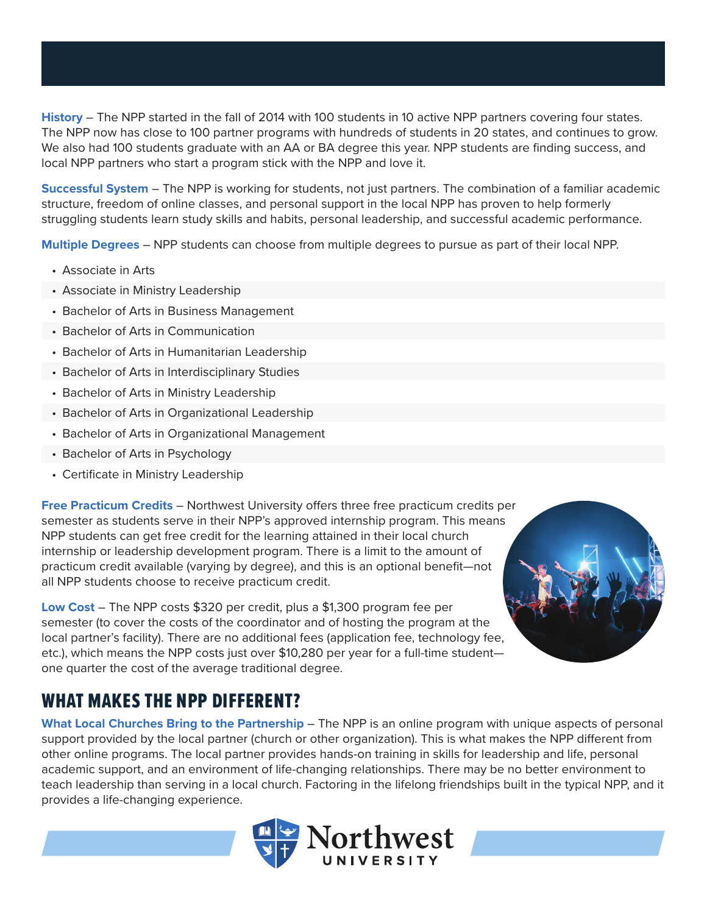**History** – The NPP started in the fall of 2014 with 100 students in 10 active NPP partners covering four states. The NPP now has close to 100 partner programs with hundreds of students in 20 states, and continues to grow. We also had 100 students graduate with an AA or BA degree this year. NPP students are finding success, and local NPP partners who start a program stick with the NPP and love it.

**Successful System** – The NPP is working for students, not just partners. The combination of a familiar academic structure, freedom of online classes, and personal support in the local NPP has proven to help formerly struggling students learn study skills and habits, personal leadership, and successful academic performance.

**Multiple Degrees** – NPP students can choose from multiple degrees to pursue as part of their local NPP.

- Associate in Arts
- Associate in Ministry Leadership
- Bachelor of Arts in Business Management
- Bachelor of Arts in Communication
- Bachelor of Arts in Humanitarian Leadership
- Bachelor of Arts in Interdisciplinary Studies
- Bachelor of Arts in Ministry Leadership
- Bachelor of Arts in Organizational Leadership
- Bachelor of Arts in Organizational Management
- Bachelor of Arts in Psychology
- Certificate in Ministry Leadership

**Free Practicum Credits** – Northwest University offers three free practicum credits per semester as students serve in their NPP's approved internship program. This means NPP students can get free credit for the learning attained in their local church internship or leadership development program. There is a limit to the amount of practicum credit available (varying by degree), and this is an optional benefit—not all NPP students choose to receive practicum credit.

**Low Cost** – The NPP costs \$320 per credit, plus a \$1,300 program fee per semester (to cover the costs of the coordinator and of hosting the program at the local partner's facility). There are no additional fees (application fee, technology fee, etc.), which means the NPP costs just over \$10,280 per year for a full-time student one quarter the cost of the average traditional degree.

## WHAT MAKES THE NPP DIFFERENT?

**What Local Churches Bring to the Partnership** – The NPP is an online program with unique aspects of personal support provided by the local partner (church or other organization). This is what makes the NPP different from other online programs. The local partner provides hands-on training in skills for leadership and life, personal academic support, and an environment of life-changing relationships. There may be no better environment to teach leadership than serving in a local church. Factoring in the lifelong friendships built in the typical NPP, and it provides a life-changing experience.

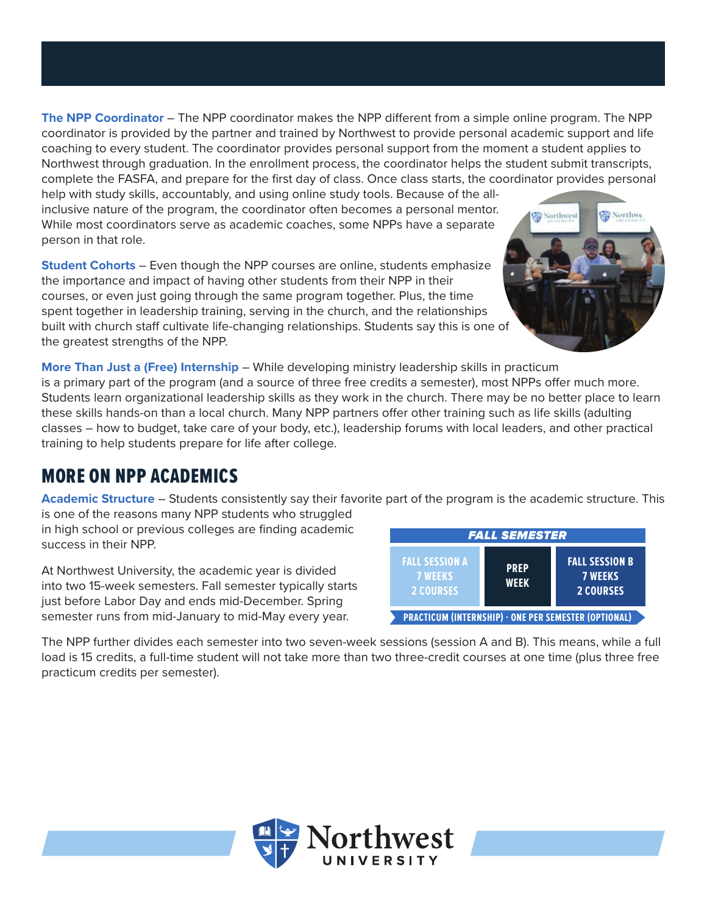**The NPP Coordinator** – The NPP coordinator makes the NPP different from a simple online program. The NPP coordinator is provided by the partner and trained by Northwest to provide personal academic support and life coaching to every student. The coordinator provides personal support from the moment a student applies to Northwest through graduation. In the enrollment process, the coordinator helps the student submit transcripts, complete the FASFA, and prepare for the first day of class. Once class starts, the coordinator provides personal

help with study skills, accountably, and using online study tools. Because of the allinclusive nature of the program, the coordinator often becomes a personal mentor. While most coordinators serve as academic coaches, some NPPs have a separate person in that role.

**Student Cohorts** – Even though the NPP courses are online, students emphasize the importance and impact of having other students from their NPP in their courses, or even just going through the same program together. Plus, the time spent together in leadership training, serving in the church, and the relationships built with church staff cultivate life-changing relationships. Students say this is one of the greatest strengths of the NPP.



**More Than Just a (Free) Internship** – While developing ministry leadership skills in practicum is a primary part of the program (and a source of three free credits a semester), most NPPs offer much more. Students learn organizational leadership skills as they work in the church. There may be no better place to learn these skills hands-on than a local church. Many NPP partners offer other training such as life skills (adulting classes – how to budget, take care of your body, etc.), leadership forums with local leaders, and other practical training to help students prepare for life after college.

## MORE ON NPP ACADEMICS

**Academic Structure** – Students consistently say their favorite part of the program is the academic structure. This

is one of the reasons many NPP students who struggled in high school or previous colleges are finding academic success in their NPP.

At Northwest University, the academic year is divided into two 15-week semesters. Fall semester typically starts just before Labor Day and ends mid-December. Spring semester runs from mid-January to mid-May every year.

| <b>FALL SEMESTER</b>                                        |                            |                                                             |
|-------------------------------------------------------------|----------------------------|-------------------------------------------------------------|
| <b>FALL SESSION A</b><br><b>7 WEEKS</b><br><b>2 COURSES</b> | <b>PREP</b><br><b>WEEK</b> | <b>FALL SESSION B</b><br><b>7 WEEKS</b><br><b>2 COURSES</b> |
| <b>PRACTICUM (INTERNSHIP) - ONE PER SEMESTER (OPTIONAL)</b> |                            |                                                             |

The NPP further divides each semester into two seven-week sessions (session A and B). This means, while a full load is 15 credits, a full-time student will not take more than two three-credit courses at one time (plus three free practicum credits per semester).

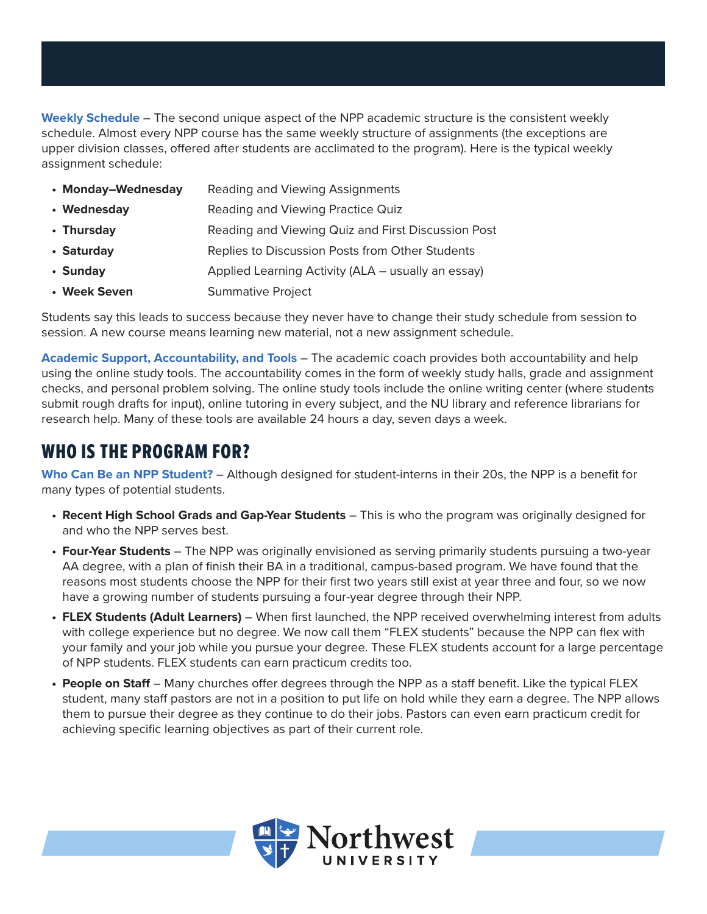**Weekly Schedule** – The second unique aspect of the NPP academic structure is the consistent weekly schedule. Almost every NPP course has the same weekly structure of assignments (the exceptions are upper division classes, offered after students are acclimated to the program). Here is the typical weekly assignment schedule:

| • Monday-Wednesday | Reading and Viewing Assignments                    |
|--------------------|----------------------------------------------------|
| • Wednesday        | Reading and Viewing Practice Quiz                  |
| • Thursday         | Reading and Viewing Quiz and First Discussion Post |
| • Saturday         | Replies to Discussion Posts from Other Students    |
| • Sunday           | Applied Learning Activity (ALA – usually an essay) |
| • Week Seven       | <b>Summative Project</b>                           |

Students say this leads to success because they never have to change their study schedule from session to session. A new course means learning new material, not a new assignment schedule.

**Academic Support, Accountability, and Tools** – The academic coach provides both accountability and help using the online study tools. The accountability comes in the form of weekly study halls, grade and assignment checks, and personal problem solving. The online study tools include the online writing center (where students submit rough drafts for input), online tutoring in every subject, and the NU library and reference librarians for research help. Many of these tools are available 24 hours a day, seven days a week.

#### WHO IS THE PROGRAM FOR?

**Who Can Be an NPP Student?** – Although designed for student-interns in their 20s, the NPP is a benefit for many types of potential students.

- **• Recent High School Grads and Gap-Year Students** This is who the program was originally designed for and who the NPP serves best.
- **• Four-Year Students** The NPP was originally envisioned as serving primarily students pursuing a two-year AA degree, with a plan of finish their BA in a traditional, campus-based program. We have found that the reasons most students choose the NPP for their first two years still exist at year three and four, so we now have a growing number of students pursuing a four-year degree through their NPP.
- **• FLEX Students (Adult Learners)**  When first launched, the NPP received overwhelming interest from adults with college experience but no degree. We now call them "FLEX students" because the NPP can flex with your family and your job while you pursue your degree. These FLEX students account for a large percentage of NPP students. FLEX students can earn practicum credits too.
- **• People on Staff** Many churches offer degrees through the NPP as a staff benefit. Like the typical FLEX student, many staff pastors are not in a position to put life on hold while they earn a degree. The NPP allows them to pursue their degree as they continue to do their jobs. Pastors can even earn practicum credit for achieving specific learning objectives as part of their current role.